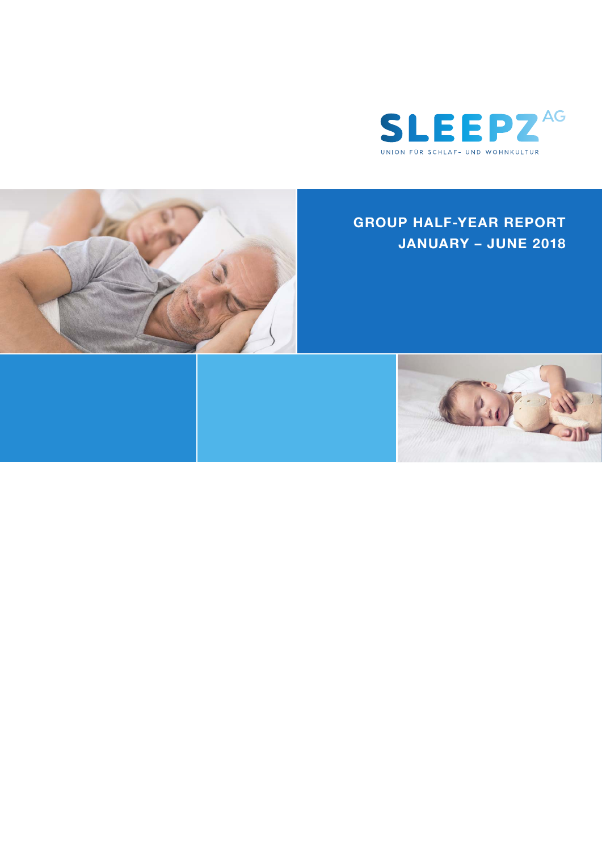

# **GROUP HALF-YEAR REPORT JANUARY – JUNE 2018**



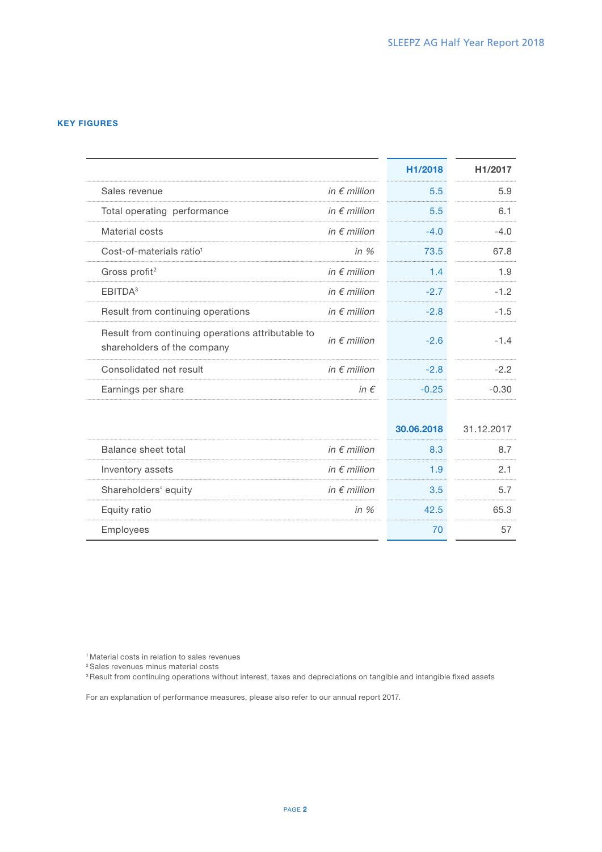## KEY FIGURES

|                                                                                  |                       | H1/2018    | H <sub>1</sub> /2017 |
|----------------------------------------------------------------------------------|-----------------------|------------|----------------------|
| Sales revenue                                                                    | in $\epsilon$ million | 5.5        | 5.9                  |
| Total operating performance                                                      | in $\epsilon$ million | 5.5        | 6.1                  |
| Material costs                                                                   | in $\epsilon$ million | $-4.0$     | $-4.0$               |
| Cost-of-materials ratio <sup>1</sup>                                             | in $%$                | 73.5       | 67.8                 |
| Gross profit <sup>2</sup>                                                        | in $\epsilon$ million | 1.4        | 1.9                  |
| EBITDA <sup>3</sup>                                                              | in $\epsilon$ million | $-2.7$     | $-1.2$               |
| Result from continuing operations                                                | in $\epsilon$ million | $-2.8$     | $-1.5$               |
| Result from continuing operations attributable to<br>shareholders of the company | in $\epsilon$ million | $-2.6$     | $-1.4$               |
| Consolidated net result                                                          | in $\epsilon$ million | $-2.8$     | $-2.2$               |
| Earnings per share                                                               | in $\epsilon$         | $-0.25$    | $-0.30$              |
|                                                                                  |                       |            |                      |
|                                                                                  |                       | 30.06.2018 | 31.12.2017           |
| Balance sheet total                                                              | in $\epsilon$ million | 8.3        | 8.7                  |
| Inventory assets                                                                 | in $\epsilon$ million | 1.9        | 2.1                  |
| Shareholders' equity                                                             | in $\epsilon$ million | 3.5        | 5.7                  |
| Equity ratio                                                                     | in $%$                | 42.5       | 65.3                 |
| Employees                                                                        |                       | 70         | 57                   |

1 Material costs in relation to sales revenues

2 Sales revenues minus material costs

<sup>3</sup> Result from continuing operations without interest, taxes and depreciations on tangible and intangible fixed assets

For an explanation of performance measures, please also refer to our annual report 2017.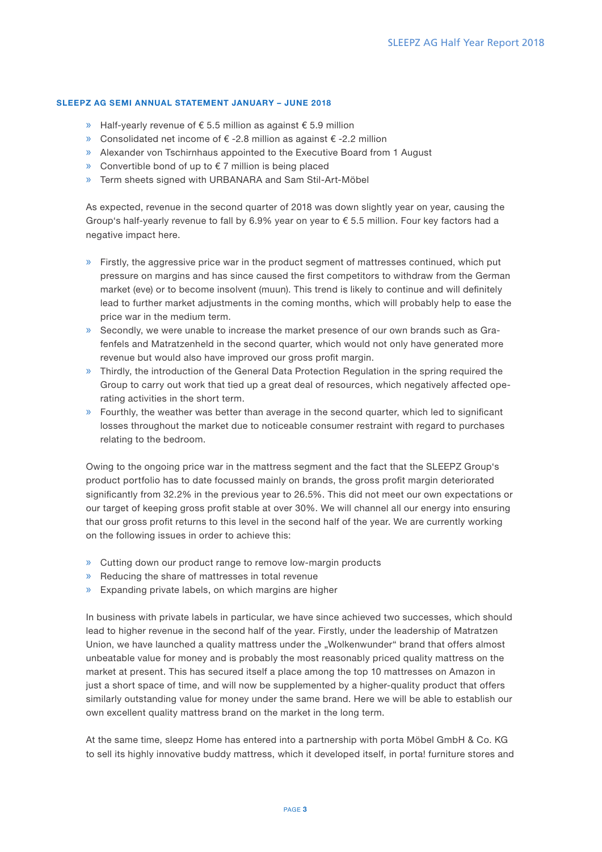## SLEEPZ AG SEMI ANNUAL STATEMENT JANUARY – JUNE 2018

- » Half-yearly revenue of € 5.5 million as against € 5.9 million
- » Consolidated net income of € -2.8 million as against € -2.2 million
- » Alexander von Tschirnhaus appointed to the Executive Board from 1 August
- » Convertible bond of up to  $€ 7$  million is being placed
- » Term sheets signed with URBANARA and Sam Stil-Art-Möbel

As expected, revenue in the second quarter of 2018 was down slightly year on year, causing the Group's half-yearly revenue to fall by 6.9% year on year to € 5.5 million. Four key factors had a negative impact here.

- $\gg$  Firstly, the aggressive price war in the product segment of mattresses continued, which put pressure on margins and has since caused the first competitors to withdraw from the German market (eve) or to become insolvent (muun). This trend is likely to continue and will definitely lead to further market adjustments in the coming months, which will probably help to ease the price war in the medium term.
- » Secondly, we were unable to increase the market presence of our own brands such as Grafenfels and Matratzenheld in the second quarter, which would not only have generated more revenue but would also have improved our gross profit margin.
- » Thirdly, the introduction of the General Data Protection Regulation in the spring required the Group to carry out work that tied up a great deal of resources, which negatively affected operating activities in the short term.
- » Fourthly, the weather was better than average in the second quarter, which led to significant losses throughout the market due to noticeable consumer restraint with regard to purchases relating to the bedroom.

Owing to the ongoing price war in the mattress segment and the fact that the SLEEPZ Group's product portfolio has to date focussed mainly on brands, the gross profit margin deteriorated significantly from 32.2% in the previous year to 26.5%. This did not meet our own expectations or our target of keeping gross profit stable at over 30%. We will channel all our energy into ensuring that our gross profit returns to this level in the second half of the year. We are currently working on the following issues in order to achieve this:

- » Cutting down our product range to remove low-margin products
- » Reducing the share of mattresses in total revenue
- » Expanding private labels, on which margins are higher

In business with private labels in particular, we have since achieved two successes, which should lead to higher revenue in the second half of the year. Firstly, under the leadership of Matratzen Union, we have launched a quality mattress under the "Wolkenwunder" brand that offers almost unbeatable value for money and is probably the most reasonably priced quality mattress on the market at present. This has secured itself a place among the top 10 mattresses on Amazon in just a short space of time, and will now be supplemented by a higher-quality product that offers similarly outstanding value for money under the same brand. Here we will be able to establish our own excellent quality mattress brand on the market in the long term.

At the same time, sleepz Home has entered into a partnership with porta Möbel GmbH & Co. KG to sell its highly innovative buddy mattress, which it developed itself, in porta! furniture stores and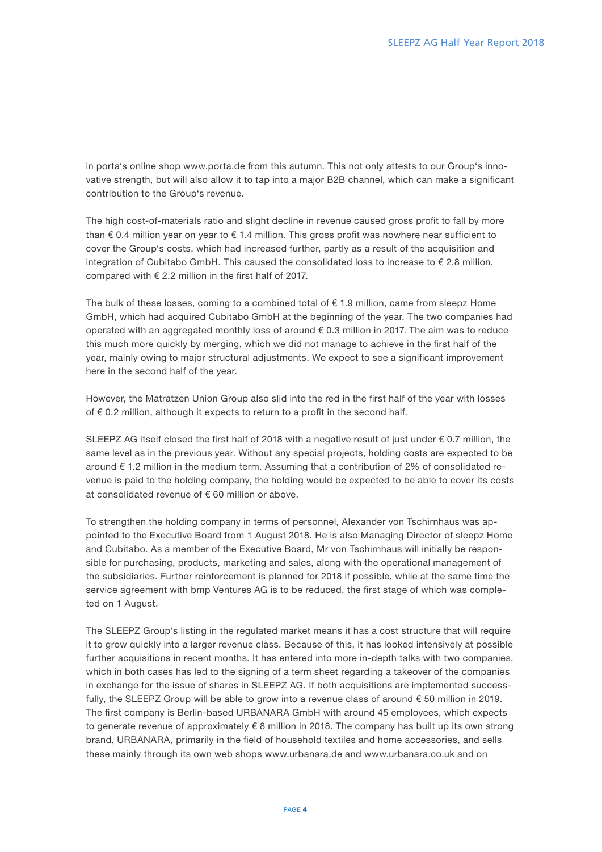in porta's online shop www.porta.de from this autumn. This not only attests to our Group's innovative strength, but will also allow it to tap into a major B2B channel, which can make a significant contribution to the Group's revenue.

The high cost-of-materials ratio and slight decline in revenue caused gross profit to fall by more than € 0.4 million year on year to € 1.4 million. This gross profit was nowhere near sufficient to cover the Group's costs, which had increased further, partly as a result of the acquisition and integration of Cubitabo GmbH. This caused the consolidated loss to increase to  $\epsilon$  2.8 million, compared with € 2.2 million in the first half of 2017.

The bulk of these losses, coming to a combined total of  $\epsilon$  1.9 million, came from sleepz Home GmbH, which had acquired Cubitabo GmbH at the beginning of the year. The two companies had operated with an aggregated monthly loss of around  $\epsilon$  0.3 million in 2017. The aim was to reduce this much more quickly by merging, which we did not manage to achieve in the first half of the year, mainly owing to major structural adjustments. We expect to see a significant improvement here in the second half of the year.

However, the Matratzen Union Group also slid into the red in the first half of the year with losses of € 0.2 million, although it expects to return to a profit in the second half.

SLEEPZ AG itself closed the first half of 2018 with a negative result of just under  $\epsilon$  0.7 million, the same level as in the previous year. Without any special projects, holding costs are expected to be around € 1.2 million in the medium term. Assuming that a contribution of 2% of consolidated revenue is paid to the holding company, the holding would be expected to be able to cover its costs at consolidated revenue of € 60 million or above.

To strengthen the holding company in terms of personnel, Alexander von Tschirnhaus was appointed to the Executive Board from 1 August 2018. He is also Managing Director of sleepz Home and Cubitabo. As a member of the Executive Board, Mr von Tschirnhaus will initially be responsible for purchasing, products, marketing and sales, along with the operational management of the subsidiaries. Further reinforcement is planned for 2018 if possible, while at the same time the service agreement with bmp Ventures AG is to be reduced, the first stage of which was completed on 1 August.

The SLEEPZ Group's listing in the regulated market means it has a cost structure that will require it to grow quickly into a larger revenue class. Because of this, it has looked intensively at possible further acquisitions in recent months. It has entered into more in-depth talks with two companies, which in both cases has led to the signing of a term sheet regarding a takeover of the companies in exchange for the issue of shares in SLEEPZ AG. If both acquisitions are implemented successfully, the SLEEPZ Group will be able to grow into a revenue class of around € 50 million in 2019. The first company is Berlin-based URBANARA GmbH with around 45 employees, which expects to generate revenue of approximately  $\epsilon$  8 million in 2018. The company has built up its own strong brand, URBANARA, primarily in the field of household textiles and home accessories, and sells these mainly through its own web shops www.urbanara.de and www.urbanara.co.uk and on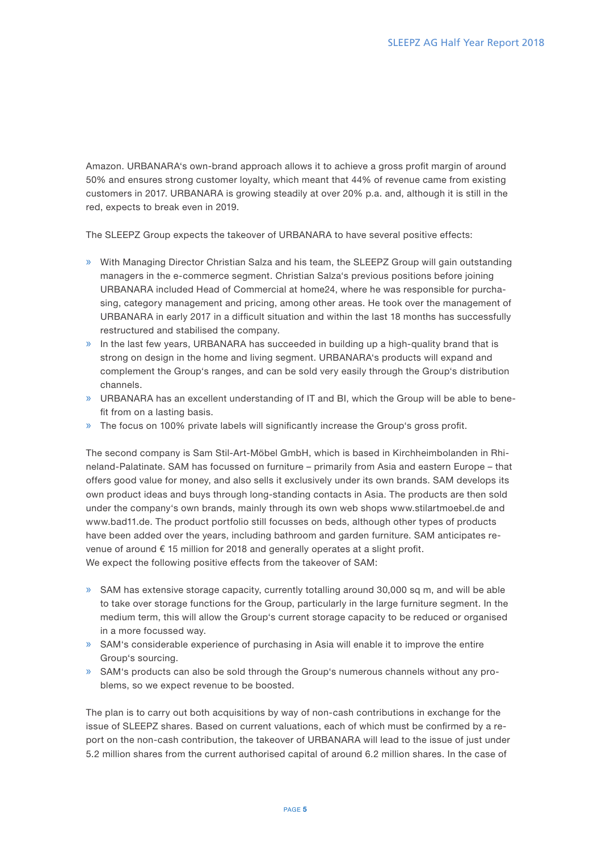Amazon. URBANARA's own-brand approach allows it to achieve a gross profit margin of around 50% and ensures strong customer loyalty, which meant that 44% of revenue came from existing customers in 2017. URBANARA is growing steadily at over 20% p.a. and, although it is still in the red, expects to break even in 2019.

The SLEEPZ Group expects the takeover of URBANARA to have several positive effects:

- » With Managing Director Christian Salza and his team, the SLEEPZ Group will gain outstanding managers in the e-commerce segment. Christian Salza's previous positions before joining URBANARA included Head of Commercial at home24, where he was responsible for purchasing, category management and pricing, among other areas. He took over the management of URBANARA in early 2017 in a difficult situation and within the last 18 months has successfully restructured and stabilised the company.
- » In the last few years, URBANARA has succeeded in building up a high-quality brand that is strong on design in the home and living segment. URBANARA's products will expand and complement the Group's ranges, and can be sold very easily through the Group's distribution channels.
- » URBANARA has an excellent understanding of IT and BI, which the Group will be able to benefit from on a lasting basis.
- » The focus on 100% private labels will significantly increase the Group's gross profit.

The second company is Sam Stil-Art-Möbel GmbH, which is based in Kirchheimbolanden in Rhineland-Palatinate. SAM has focussed on furniture – primarily from Asia and eastern Europe – that offers good value for money, and also sells it exclusively under its own brands. SAM develops its own product ideas and buys through long-standing contacts in Asia. The products are then sold under the company's own brands, mainly through its own web shops www.stilartmoebel.de and www.bad11.de. The product portfolio still focusses on beds, although other types of products have been added over the years, including bathroom and garden furniture. SAM anticipates revenue of around € 15 million for 2018 and generally operates at a slight profit. We expect the following positive effects from the takeover of SAM:

- » SAM has extensive storage capacity, currently totalling around 30,000 sq m, and will be able to take over storage functions for the Group, particularly in the large furniture segment. In the medium term, this will allow the Group's current storage capacity to be reduced or organised in a more focussed way.
- » SAM's considerable experience of purchasing in Asia will enable it to improve the entire Group's sourcing.
- » SAM's products can also be sold through the Group's numerous channels without any problems, so we expect revenue to be boosted.

The plan is to carry out both acquisitions by way of non-cash contributions in exchange for the issue of SLEEPZ shares. Based on current valuations, each of which must be confirmed by a report on the non-cash contribution, the takeover of URBANARA will lead to the issue of just under 5.2 million shares from the current authorised capital of around 6.2 million shares. In the case of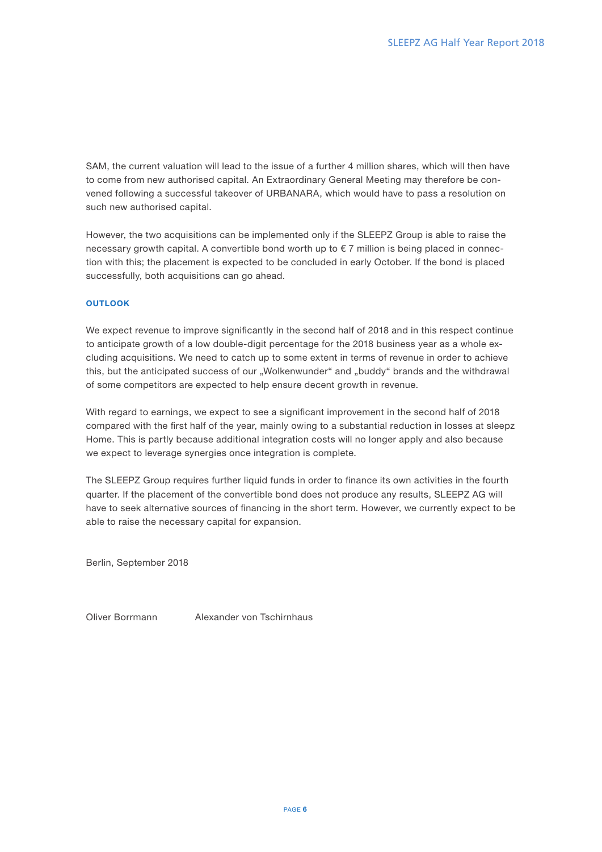SAM, the current valuation will lead to the issue of a further 4 million shares, which will then have to come from new authorised capital. An Extraordinary General Meeting may therefore be convened following a successful takeover of URBANARA, which would have to pass a resolution on such new authorised capital.

However, the two acquisitions can be implemented only if the SLEEPZ Group is able to raise the necessary growth capital. A convertible bond worth up to € 7 million is being placed in connection with this; the placement is expected to be concluded in early October. If the bond is placed successfully, both acquisitions can go ahead.

## **OUTLOOK**

We expect revenue to improve significantly in the second half of 2018 and in this respect continue to anticipate growth of a low double-digit percentage for the 2018 business year as a whole excluding acquisitions. We need to catch up to some extent in terms of revenue in order to achieve this, but the anticipated success of our "Wolkenwunder" and "buddy" brands and the withdrawal of some competitors are expected to help ensure decent growth in revenue.

With regard to earnings, we expect to see a significant improvement in the second half of 2018 compared with the first half of the year, mainly owing to a substantial reduction in losses at sleepz Home. This is partly because additional integration costs will no longer apply and also because we expect to leverage synergies once integration is complete.

The SLEEPZ Group requires further liquid funds in order to finance its own activities in the fourth quarter. If the placement of the convertible bond does not produce any results, SLEEPZ AG will have to seek alternative sources of financing in the short term. However, we currently expect to be able to raise the necessary capital for expansion.

Berlin, September 2018

Oliver Borrmann Alexander von Tschirnhaus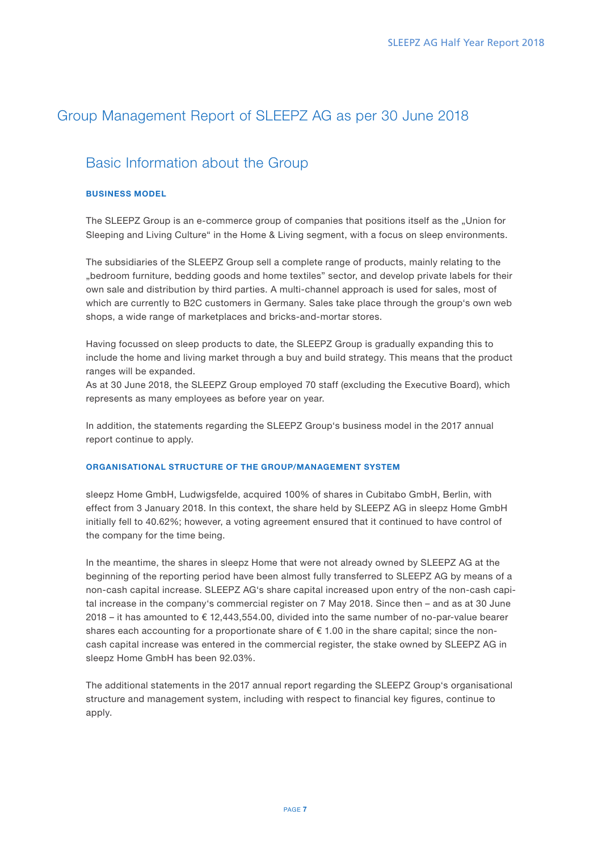# Group Management Report of SLEEPZ AG as per 30 June 2018

## Basic Information about the Group

## BUSINESS MODEL

The SLEEPZ Group is an e-commerce group of companies that positions itself as the "Union for Sleeping and Living Culture" in the Home & Living segment, with a focus on sleep environments.

The subsidiaries of the SLEEPZ Group sell a complete range of products, mainly relating to the "bedroom furniture, bedding goods and home textiles" sector, and develop private labels for their own sale and distribution by third parties. A multi-channel approach is used for sales, most of which are currently to B2C customers in Germany. Sales take place through the group's own web shops, a wide range of marketplaces and bricks-and-mortar stores.

Having focussed on sleep products to date, the SLEEPZ Group is gradually expanding this to include the home and living market through a buy and build strategy. This means that the product ranges will be expanded.

As at 30 June 2018, the SLEEPZ Group employed 70 staff (excluding the Executive Board), which represents as many employees as before year on year.

In addition, the statements regarding the SLEEPZ Group's business model in the 2017 annual report continue to apply.

## ORGANISATIONAL STRUCTURE OF THE GROUP/MANAGEMENT SYSTEM

sleepz Home GmbH, Ludwigsfelde, acquired 100% of shares in Cubitabo GmbH, Berlin, with effect from 3 January 2018. In this context, the share held by SLEEPZ AG in sleepz Home GmbH initially fell to 40.62%; however, a voting agreement ensured that it continued to have control of the company for the time being.

In the meantime, the shares in sleepz Home that were not already owned by SLEEPZ AG at the beginning of the reporting period have been almost fully transferred to SLEEPZ AG by means of a non-cash capital increase. SLEEPZ AG's share capital increased upon entry of the non-cash capital increase in the company's commercial register on 7 May 2018. Since then – and as at 30 June 2018 – it has amounted to  $\epsilon$  12,443,554.00, divided into the same number of no-par-value bearer shares each accounting for a proportionate share of  $\epsilon$  1.00 in the share capital; since the noncash capital increase was entered in the commercial register, the stake owned by SLEEPZ AG in sleepz Home GmbH has been 92.03%.

The additional statements in the 2017 annual report regarding the SLEEPZ Group's organisational structure and management system, including with respect to financial key figures, continue to apply.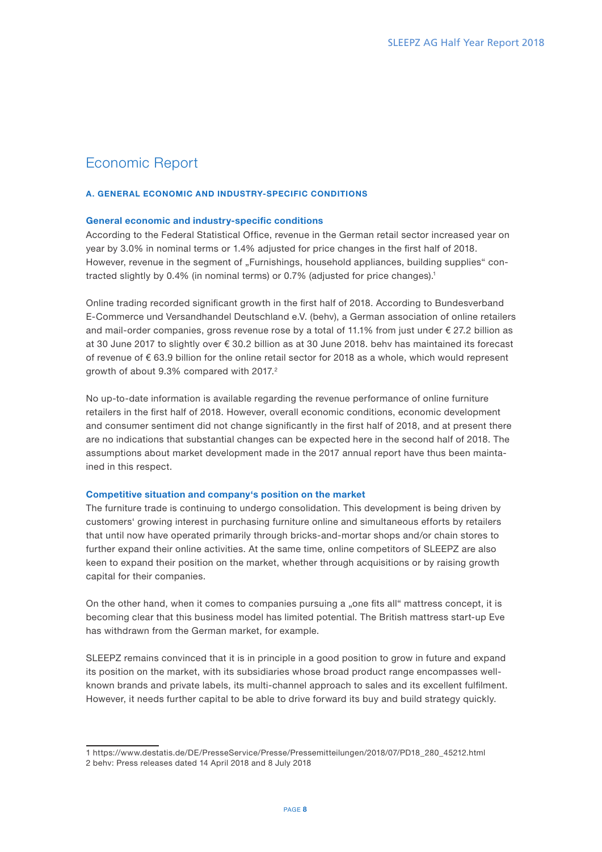## Economic Report

## A. GENERAL ECONOMIC AND INDUSTRY-SPECIFIC CONDITIONS

## General economic and industry-specific conditions

According to the Federal Statistical Office, revenue in the German retail sector increased year on year by 3.0% in nominal terms or 1.4% adjusted for price changes in the first half of 2018. However, revenue in the segment of "Furnishings, household appliances, building supplies" contracted slightly by 0.4% (in nominal terms) or 0.7% (adjusted for price changes).1

Online trading recorded significant growth in the first half of 2018. According to Bundesverband E-Commerce und Versandhandel Deutschland e.V. (behv), a German association of online retailers and mail-order companies, gross revenue rose by a total of 11.1% from just under € 27.2 billion as at 30 June 2017 to slightly over € 30.2 billion as at 30 June 2018. behv has maintained its forecast of revenue of € 63.9 billion for the online retail sector for 2018 as a whole, which would represent growth of about 9.3% compared with 2017.<sup>2</sup>

No up-to-date information is available regarding the revenue performance of online furniture retailers in the first half of 2018. However, overall economic conditions, economic development and consumer sentiment did not change significantly in the first half of 2018, and at present there are no indications that substantial changes can be expected here in the second half of 2018. The assumptions about market development made in the 2017 annual report have thus been maintained in this respect.

## Competitive situation and company's position on the market

The furniture trade is continuing to undergo consolidation. This development is being driven by customers' growing interest in purchasing furniture online and simultaneous efforts by retailers that until now have operated primarily through bricks-and-mortar shops and/or chain stores to further expand their online activities. At the same time, online competitors of SLEEPZ are also keen to expand their position on the market, whether through acquisitions or by raising growth capital for their companies.

On the other hand, when it comes to companies pursuing a "one fits all" mattress concept, it is becoming clear that this business model has limited potential. The British mattress start-up Eve has withdrawn from the German market, for example.

SLEEPZ remains convinced that it is in principle in a good position to grow in future and expand its position on the market, with its subsidiaries whose broad product range encompasses wellknown brands and private labels, its multi-channel approach to sales and its excellent fulfilment. However, it needs further capital to be able to drive forward its buy and build strategy quickly.

<sup>1</sup> https://www.destatis.de/DE/PresseService/Presse/Pressemitteilungen/2018/07/PD18\_280\_45212.html 2 behv: Press releases dated 14 April 2018 and 8 July 2018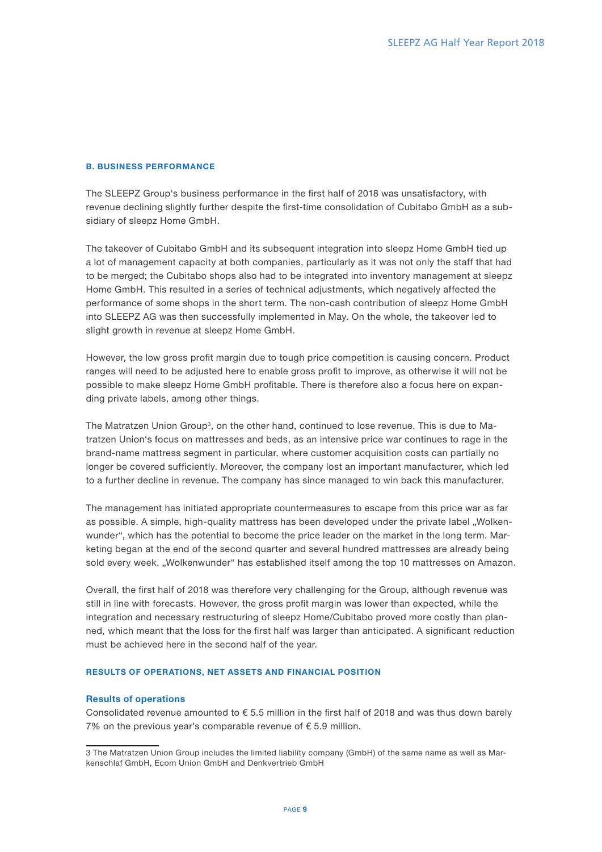## B. BUSINESS PERFORMANCE

The SLEEPZ Group's business performance in the first half of 2018 was unsatisfactory, with revenue declining slightly further despite the first-time consolidation of Cubitabo GmbH as a subsidiary of sleepz Home GmbH.

The takeover of Cubitabo GmbH and its subsequent integration into sleepz Home GmbH tied up a lot of management capacity at both companies, particularly as it was not only the staff that had to be merged; the Cubitabo shops also had to be integrated into inventory management at sleepz Home GmbH. This resulted in a series of technical adjustments, which negatively affected the performance of some shops in the short term. The non-cash contribution of sleepz Home GmbH into SLEEPZ AG was then successfully implemented in May. On the whole, the takeover led to slight growth in revenue at sleepz Home GmbH.

However, the low gross profit margin due to tough price competition is causing concern. Product ranges will need to be adjusted here to enable gross profit to improve, as otherwise it will not be possible to make sleepz Home GmbH profitable. There is therefore also a focus here on expanding private labels, among other things.

The Matratzen Union Group3, on the other hand, continued to lose revenue. This is due to Matratzen Union's focus on mattresses and beds, as an intensive price war continues to rage in the brand-name mattress segment in particular, where customer acquisition costs can partially no longer be covered sufficiently. Moreover, the company lost an important manufacturer, which led to a further decline in revenue. The company has since managed to win back this manufacturer.

The management has initiated appropriate countermeasures to escape from this price war as far as possible. A simple, high-quality mattress has been developed under the private label "Wolkenwunder", which has the potential to become the price leader on the market in the long term. Marketing began at the end of the second quarter and several hundred mattresses are already being sold every week. "Wolkenwunder" has established itself among the top 10 mattresses on Amazon.

Overall, the first half of 2018 was therefore very challenging for the Group, although revenue was still in line with forecasts. However, the gross profit margin was lower than expected, while the integration and necessary restructuring of sleepz Home/Cubitabo proved more costly than planned, which meant that the loss for the first half was larger than anticipated. A significant reduction must be achieved here in the second half of the year.

## RESULTS OF OPERATIONS, NET ASSETS AND FINANCIAL POSITION

#### Results of operations

Consolidated revenue amounted to  $\epsilon$  5.5 million in the first half of 2018 and was thus down barely 7% on the previous year's comparable revenue of  $\epsilon$  5.9 million.

<sup>3</sup> The Matratzen Union Group includes the limited liability company (GmbH) of the same name as well as Markenschlaf GmbH, Ecom Union GmbH and Denkvertrieb GmbH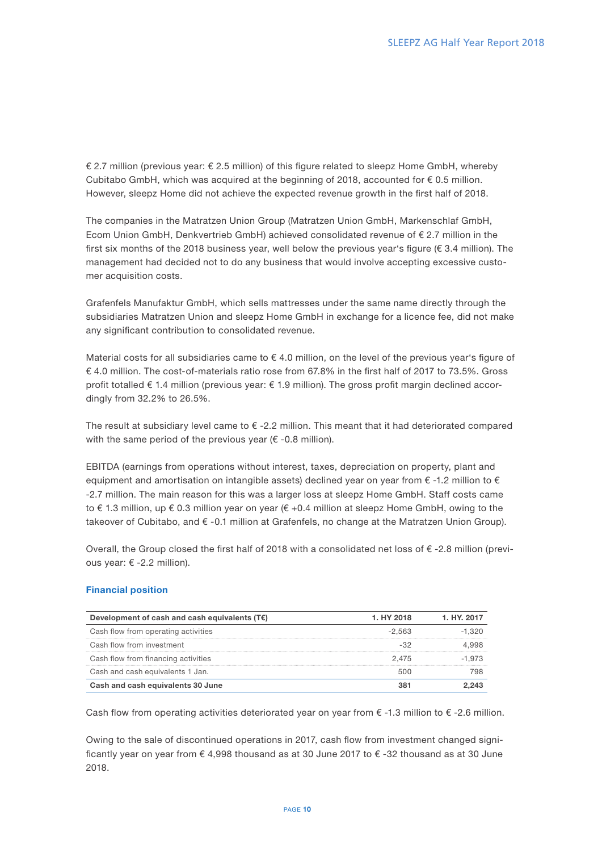€ 2.7 million (previous year: € 2.5 million) of this figure related to sleepz Home GmbH, whereby Cubitabo GmbH, which was acquired at the beginning of 2018, accounted for  $\epsilon$  0.5 million. However, sleepz Home did not achieve the expected revenue growth in the first half of 2018.

The companies in the Matratzen Union Group (Matratzen Union GmbH, Markenschlaf GmbH, Ecom Union GmbH, Denkvertrieb GmbH) achieved consolidated revenue of € 2.7 million in the first six months of the 2018 business year, well below the previous year's figure (€ 3.4 million). The management had decided not to do any business that would involve accepting excessive customer acquisition costs.

Grafenfels Manufaktur GmbH, which sells mattresses under the same name directly through the subsidiaries Matratzen Union and sleepz Home GmbH in exchange for a licence fee, did not make any significant contribution to consolidated revenue.

Material costs for all subsidiaries came to  $\epsilon$  4.0 million, on the level of the previous year's figure of € 4.0 million. The cost-of-materials ratio rose from 67.8% in the first half of 2017 to 73.5%. Gross profit totalled € 1.4 million (previous year: € 1.9 million). The gross profit margin declined accordingly from 32.2% to 26.5%.

The result at subsidiary level came to € -2.2 million. This meant that it had deteriorated compared with the same period of the previous year  $(\epsilon$  -0.8 million).

EBITDA (earnings from operations without interest, taxes, depreciation on property, plant and equipment and amortisation on intangible assets) declined year on year from  $\epsilon$  -1.2 million to  $\epsilon$ -2.7 million. The main reason for this was a larger loss at sleepz Home GmbH. Staff costs came to € 1.3 million, up € 0.3 million year on year (€ +0.4 million at sleepz Home GmbH, owing to the takeover of Cubitabo, and € -0.1 million at Grafenfels, no change at the Matratzen Union Group).

Overall, the Group closed the first half of 2018 with a consolidated net loss of  $\epsilon$  -2.8 million (previous year: € -2.2 million).

## Financial position

| Development of cash and cash equivalents $(TE)$ | 1. HY 2018 | 1. HY. 2017 |
|-------------------------------------------------|------------|-------------|
| Cash flow from operating activities             | $-2.563$   | $-1.320$    |
| Cash flow from investment                       |            |             |
| Cash flow from financing activities             | 2.475      | -1.973      |
| Cash and cash equivalents 1 Jan.                |            |             |
| Cash and cash equivalents 30 June               |            |             |

Cash flow from operating activities deteriorated year on year from  $\epsilon$  -1.3 million to  $\epsilon$  -2.6 million.

Owing to the sale of discontinued operations in 2017, cash flow from investment changed significantly year on year from  $\epsilon$  4,998 thousand as at 30 June 2017 to  $\epsilon$  -32 thousand as at 30 June 2018.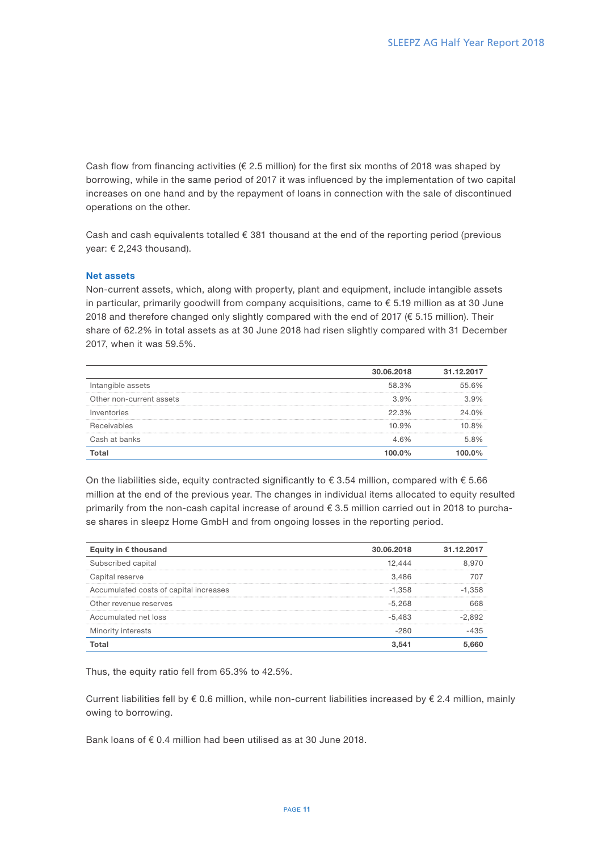Cash flow from financing activities ( $\epsilon$  2.5 million) for the first six months of 2018 was shaped by borrowing, while in the same period of 2017 it was influenced by the implementation of two capital increases on one hand and by the repayment of loans in connection with the sale of discontinued operations on the other.

Cash and cash equivalents totalled  $\epsilon$  381 thousand at the end of the reporting period (previous year: € 2,243 thousand).

## Net assets

Non-current assets, which, along with property, plant and equipment, include intangible assets in particular, primarily goodwill from company acquisitions, came to € 5.19 million as at 30 June 2018 and therefore changed only slightly compared with the end of 2017 ( $\epsilon$  5.15 million). Their share of 62.2% in total assets as at 30 June 2018 had risen slightly compared with 31 December 2017, when it was 59.5%.

|                          | 30.06.2018 | 31.12.2017 |
|--------------------------|------------|------------|
| Intangible assets        | 58.3%      | 55.6%      |
| Other non-current assets | $3.9\%$    | 3.9%       |
| Inventories              | $22.3\%$   | 24 0%      |
| Receivables              | 10.9%      | 8%         |
| Cash at banks            |            | 5.8%       |
|                          |            |            |

On the liabilities side, equity contracted significantly to  $\epsilon$  3.54 million, compared with  $\epsilon$  5.66 million at the end of the previous year. The changes in individual items allocated to equity resulted primarily from the non-cash capital increase of around € 3.5 million carried out in 2018 to purchase shares in sleepz Home GmbH and from ongoing losses in the reporting period.

| Equity in $\epsilon$ thousand          | 30.06.2018 | 31.12.2 |
|----------------------------------------|------------|---------|
| Subscribed capital                     |            |         |
| Capital reserve                        | 3.486      |         |
| Accumulated costs of capital increases | -1.358     | -1.358  |
| Other revenue reserves                 | -5.268     |         |
| Accumulated net loss                   | -5.483     |         |
| Minority interests                     |            |         |
|                                        |            |         |

Thus, the equity ratio fell from 65.3% to 42.5%.

Current liabilities fell by  $\epsilon$  0.6 million, while non-current liabilities increased by  $\epsilon$  2.4 million, mainly owing to borrowing.

Bank loans of  $\epsilon$  0.4 million had been utilised as at 30 June 2018.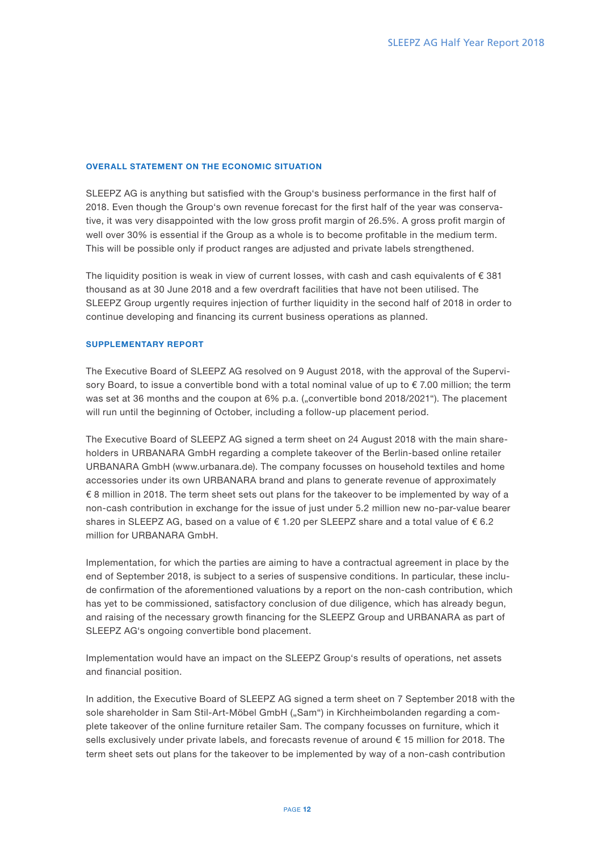## OVERALL STATEMENT ON THE ECONOMIC SITUATION

SLEEPZ AG is anything but satisfied with the Group's business performance in the first half of 2018. Even though the Group's own revenue forecast for the first half of the year was conservative, it was very disappointed with the low gross profit margin of 26.5%. A gross profit margin of well over 30% is essential if the Group as a whole is to become profitable in the medium term. This will be possible only if product ranges are adjusted and private labels strengthened.

The liquidity position is weak in view of current losses, with cash and cash equivalents of  $\epsilon$  381 thousand as at 30 June 2018 and a few overdraft facilities that have not been utilised. The SLEEPZ Group urgently requires injection of further liquidity in the second half of 2018 in order to continue developing and financing its current business operations as planned.

#### SUPPLEMENTARY REPORT

The Executive Board of SLEEPZ AG resolved on 9 August 2018, with the approval of the Supervisory Board, to issue a convertible bond with a total nominal value of up to €7.00 million; the term was set at 36 months and the coupon at 6% p.a. ("convertible bond 2018/2021"). The placement will run until the beginning of October, including a follow-up placement period.

The Executive Board of SLEEPZ AG signed a term sheet on 24 August 2018 with the main shareholders in URBANARA GmbH regarding a complete takeover of the Berlin-based online retailer URBANARA GmbH (www.urbanara.de). The company focusses on household textiles and home accessories under its own URBANARA brand and plans to generate revenue of approximately € 8 million in 2018. The term sheet sets out plans for the takeover to be implemented by way of a non-cash contribution in exchange for the issue of just under 5.2 million new no-par-value bearer shares in SLEEPZ AG, based on a value of  $\epsilon$  1.20 per SLEEPZ share and a total value of  $\epsilon$  6.2 million for URBANARA GmbH.

Implementation, for which the parties are aiming to have a contractual agreement in place by the end of September 2018, is subject to a series of suspensive conditions. In particular, these include confirmation of the aforementioned valuations by a report on the non-cash contribution, which has yet to be commissioned, satisfactory conclusion of due diligence, which has already begun, and raising of the necessary growth financing for the SLEEPZ Group and URBANARA as part of SLEEPZ AG's ongoing convertible bond placement.

Implementation would have an impact on the SLEEPZ Group's results of operations, net assets and financial position.

In addition, the Executive Board of SLEEPZ AG signed a term sheet on 7 September 2018 with the sole shareholder in Sam Stil-Art-Möbel GmbH ("Sam") in Kirchheimbolanden regarding a complete takeover of the online furniture retailer Sam. The company focusses on furniture, which it sells exclusively under private labels, and forecasts revenue of around € 15 million for 2018. The term sheet sets out plans for the takeover to be implemented by way of a non-cash contribution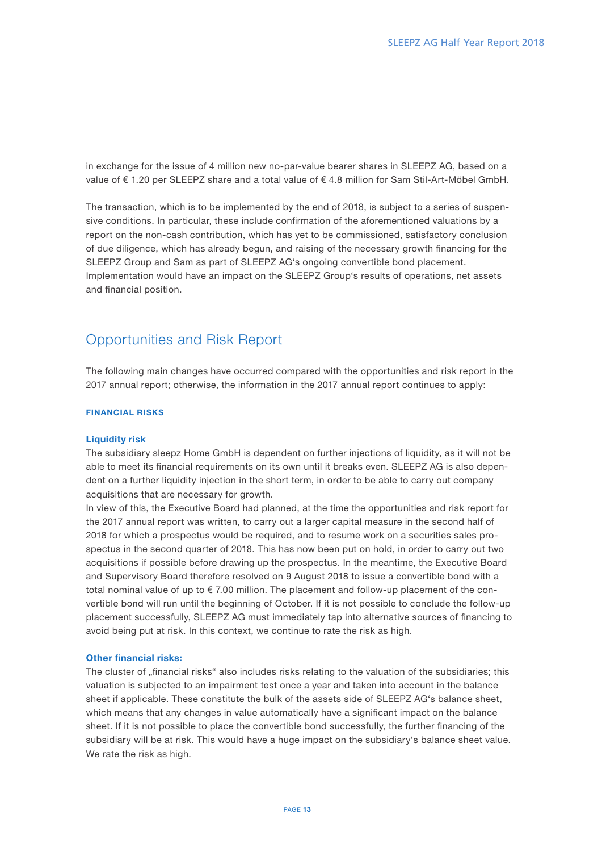in exchange for the issue of 4 million new no-par-value bearer shares in SLEEPZ AG, based on a value of € 1.20 per SLEEPZ share and a total value of € 4.8 million for Sam Stil-Art-Möbel GmbH.

The transaction, which is to be implemented by the end of 2018, is subject to a series of suspensive conditions. In particular, these include confirmation of the aforementioned valuations by a report on the non-cash contribution, which has yet to be commissioned, satisfactory conclusion of due diligence, which has already begun, and raising of the necessary growth financing for the SLEEPZ Group and Sam as part of SLEEPZ AG's ongoing convertible bond placement. Implementation would have an impact on the SLEEPZ Group's results of operations, net assets and financial position.

## Opportunities and Risk Report

The following main changes have occurred compared with the opportunities and risk report in the 2017 annual report; otherwise, the information in the 2017 annual report continues to apply:

## FINANCIAL RISKS

#### Liquidity risk

The subsidiary sleepz Home GmbH is dependent on further injections of liquidity, as it will not be able to meet its financial requirements on its own until it breaks even. SLEEPZ AG is also dependent on a further liquidity injection in the short term, in order to be able to carry out company acquisitions that are necessary for growth.

In view of this, the Executive Board had planned, at the time the opportunities and risk report for the 2017 annual report was written, to carry out a larger capital measure in the second half of 2018 for which a prospectus would be required, and to resume work on a securities sales prospectus in the second quarter of 2018. This has now been put on hold, in order to carry out two acquisitions if possible before drawing up the prospectus. In the meantime, the Executive Board and Supervisory Board therefore resolved on 9 August 2018 to issue a convertible bond with a total nominal value of up to € 7.00 million. The placement and follow-up placement of the convertible bond will run until the beginning of October. If it is not possible to conclude the follow-up placement successfully, SLEEPZ AG must immediately tap into alternative sources of financing to avoid being put at risk. In this context, we continue to rate the risk as high.

## Other financial risks:

The cluster of "financial risks" also includes risks relating to the valuation of the subsidiaries; this valuation is subjected to an impairment test once a year and taken into account in the balance sheet if applicable. These constitute the bulk of the assets side of SLEEPZ AG's balance sheet, which means that any changes in value automatically have a significant impact on the balance sheet. If it is not possible to place the convertible bond successfully, the further financing of the subsidiary will be at risk. This would have a huge impact on the subsidiary's balance sheet value. We rate the risk as high.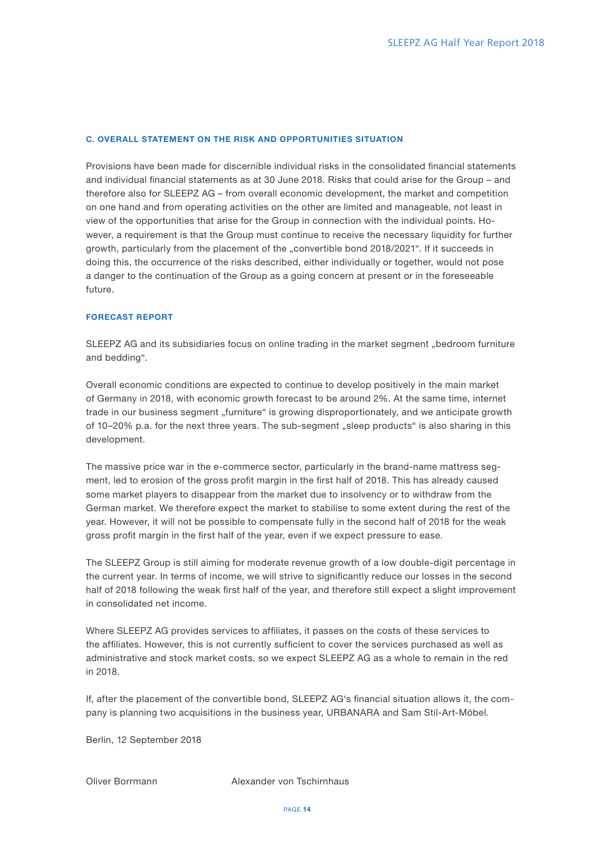## C. OVERALL STATEMENT ON THE RISK AND OPPORTUNITIES SITUATION

Provisions have been made for discernible individual risks in the consolidated financial statements and individual financial statements as at 30 June 2018. Risks that could arise for the Group – and therefore also for SLEEPZ AG – from overall economic development, the market and competition on one hand and from operating activities on the other are limited and manageable, not least in view of the opportunities that arise for the Group in connection with the individual points. However, a requirement is that the Group must continue to receive the necessary liquidity for further growth, particularly from the placement of the "convertible bond 2018/2021". If it succeeds in doing this, the occurrence of the risks described, either individually or together, would not pose a danger to the continuation of the Group as a going concern at present or in the foreseeable future.

## FORECAST REPORT

SLEEPZ AG and its subsidiaries focus on online trading in the market segment "bedroom furniture and bedding".

Overall economic conditions are expected to continue to develop positively in the main market of Germany in 2018, with economic growth forecast to be around 2%. At the same time, internet trade in our business segment "furniture" is growing disproportionately, and we anticipate growth of 10-20% p.a. for the next three years. The sub-segment "sleep products" is also sharing in this development.

The massive price war in the e-commerce sector, particularly in the brand-name mattress segment, led to erosion of the gross profit margin in the first half of 2018. This has already caused some market players to disappear from the market due to insolvency or to withdraw from the German market. We therefore expect the market to stabilise to some extent during the rest of the year. However, it will not be possible to compensate fully in the second half of 2018 for the weak gross profit margin in the first half of the year, even if we expect pressure to ease.

The SLEEPZ Group is still aiming for moderate revenue growth of a low double-digit percentage in the current year. In terms of income, we will strive to significantly reduce our losses in the second half of 2018 following the weak first half of the year, and therefore still expect a slight improvement in consolidated net income.

Where SLEEPZ AG provides services to affiliates, it passes on the costs of these services to the affiliates. However, this is not currently sufficient to cover the services purchased as well as administrative and stock market costs, so we expect SLEEPZ AG as a whole to remain in the red in 2018.

If, after the placement of the convertible bond, SLEEPZ AG's financial situation allows it, the company is planning two acquisitions in the business year, URBANARA and Sam Stil-Art-Möbel.

Berlin, 12 September 2018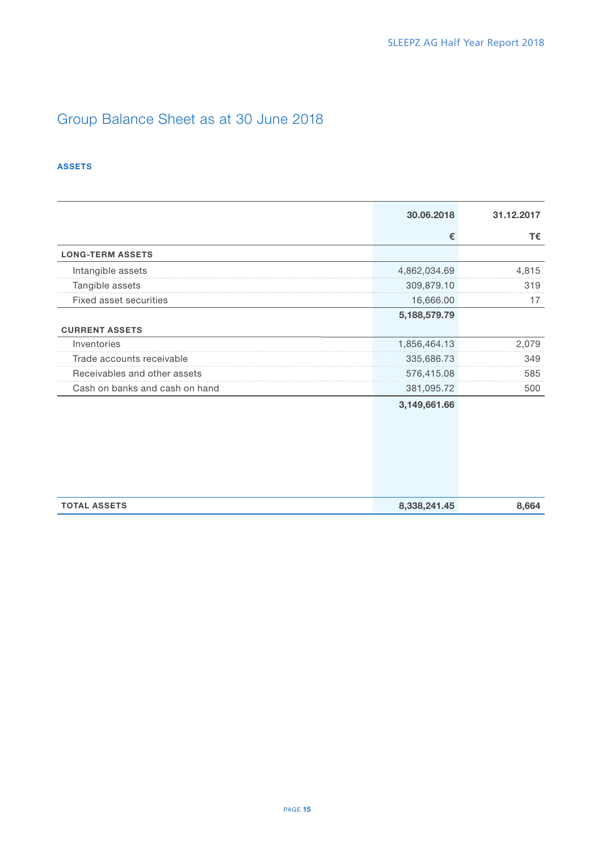# Group Balance Sheet as at 30 June 2018

## ASSETS

|                                | 30.06.2018   | 31.12.2017 |
|--------------------------------|--------------|------------|
|                                | €            | T€         |
| <b>LONG-TERM ASSETS</b>        |              |            |
| Intangible assets              | 4,862,034.69 | 4,815      |
| Tangible assets                | 309,879.10   | 319        |
| Fixed asset securities         | 16,666.00    | 17         |
|                                | 5,188,579.79 |            |
| <b>CURRENT ASSETS</b>          |              |            |
| Inventories                    | 1,856,464.13 | 2,079      |
| Trade accounts receivable      | 335,686.73   | 349        |
| Receivables and other assets   | 576,415.08   | 585        |
| Cash on banks and cash on hand | 381,095.72   | 500        |
|                                | 3,149,661.66 |            |
|                                |              |            |
|                                |              |            |
|                                |              |            |
|                                |              |            |
|                                |              |            |
| <b>TOTAL ASSETS</b>            | 8,338,241.45 | 8,664      |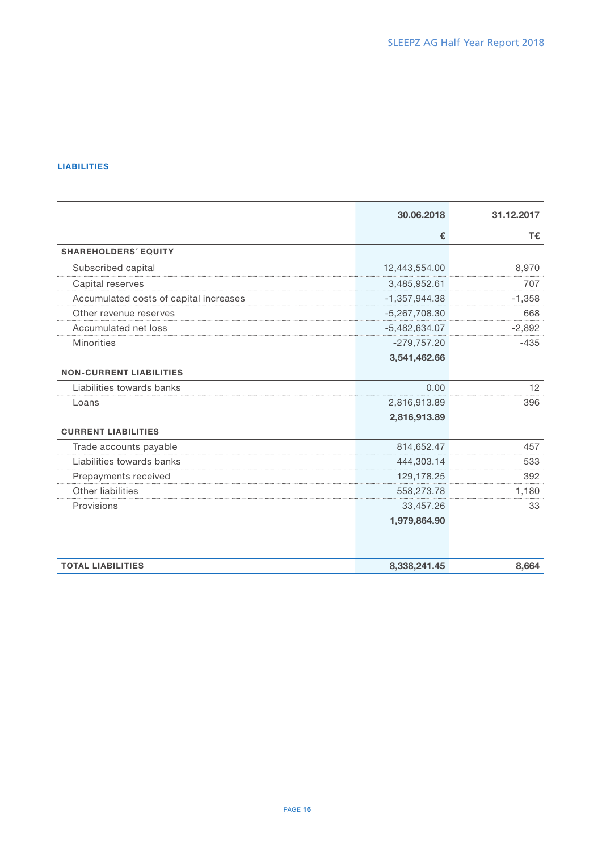## LIABILITIES

|                                        | 30.06.2018      | 31.12.2017 |
|----------------------------------------|-----------------|------------|
|                                        | €               | T€         |
| <b>SHAREHOLDERS' EQUITY</b>            |                 |            |
| Subscribed capital                     | 12,443,554.00   | 8,970      |
| Capital reserves                       | 3,485,952.61    | 707        |
| Accumulated costs of capital increases | $-1,357,944.38$ | $-1,358$   |
| Other revenue reserves                 | $-5,267,708.30$ | 668        |
| Accumulated net loss                   | $-5,482,634.07$ | $-2,892$   |
| <b>Minorities</b>                      | $-279,757.20$   | $-435$     |
|                                        | 3,541,462.66    |            |
| <b>NON-CURRENT LIABILITIES</b>         |                 |            |
| Liabilities towards banks              | 0.00            | 12         |
| Loans                                  | 2,816,913.89    | 396        |
|                                        | 2,816,913.89    |            |
| <b>CURRENT LIABILITIES</b>             |                 |            |
| Trade accounts payable                 | 814,652.47      | 457        |
| Liabilities towards banks              | 444,303.14      | 533        |
| Prepayments received                   | 129,178.25      | 392        |
| Other liabilities                      | 558,273.78      | 1,180      |
| Provisions                             | 33,457.26       | 33         |
|                                        | 1,979,864.90    |            |
| <b>TOTAL LIABILITIES</b>               | 8,338,241.45    | 8,664      |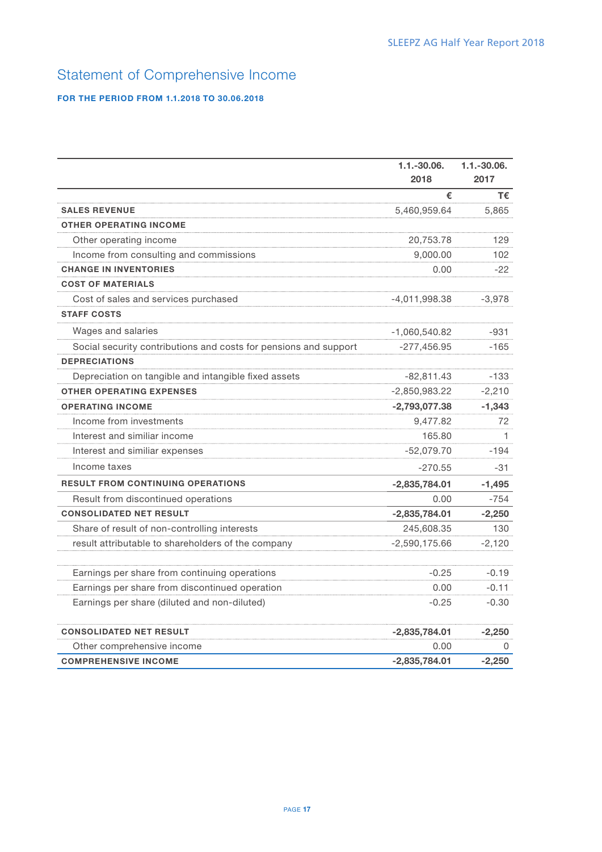# Statement of Comprehensive Income

## FOR THE PERIOD FROM 1.1.2018 TO 30.06.2018

|                                                                  | $1.1.-30.06.$<br>2018 | $1.1.-30.06.$<br>2017 |
|------------------------------------------------------------------|-----------------------|-----------------------|
|                                                                  | €                     | T€                    |
| <b>SALES REVENUE</b>                                             | 5,460,959.64          | 5,865                 |
| <b>OTHER OPERATING INCOME</b>                                    |                       |                       |
| Other operating income                                           | 20,753.78             | 129                   |
| Income from consulting and commissions                           | 9,000.00              | 102                   |
| <b>CHANGE IN INVENTORIES</b>                                     | 0.00                  | -22                   |
| <b>COST OF MATERIALS</b>                                         |                       |                       |
| Cost of sales and services purchased                             | $-4,011,998.38$       | $-3,978$              |
| <b>STAFF COSTS</b>                                               |                       |                       |
| Wages and salaries                                               | $-1,060,540.82$       | $-931$                |
| Social security contributions and costs for pensions and support | $-277,456.95$         | $-165$                |
| <b>DEPRECIATIONS</b>                                             |                       |                       |
| Depreciation on tangible and intangible fixed assets             | $-82,811.43$          | $-133$                |
| <b>OTHER OPERATING EXPENSES</b>                                  | $-2,850,983.22$       | $-2,210$              |
| <b>OPERATING INCOME</b>                                          | $-2,793,077.38$       | $-1,343$              |
| Income from investments                                          | 9,477.82              | 72                    |
| Interest and similiar income                                     | 165.80                | 1.                    |
| Interest and similiar expenses                                   | $-52,079.70$          | $-194$                |
| Income taxes                                                     | $-270.55$             | -31                   |
| <b>RESULT FROM CONTINUING OPERATIONS</b>                         | $-2,835,784.01$       | $-1,495$              |
| Result from discontinued operations                              | 0.00                  | $-754$                |
| <b>CONSOLIDATED NET RESULT</b>                                   | $-2,835,784.01$       | $-2,250$              |
| Share of result of non-controlling interests                     | 245,608.35            | 130                   |
| result attributable to shareholders of the company               | $-2,590,175.66$       | $-2,120$              |
| Earnings per share from continuing operations                    | $-0.25$               | $-0.19$               |
| Earnings per share from discontinued operation                   | 0.00                  | $-0.11$               |
| Earnings per share (diluted and non-diluted)                     | $-0.25$               | $-0.30$               |
| <b>CONSOLIDATED NET RESULT</b>                                   | $-2,835,784.01$       | $-2,250$              |
| Other comprehensive income                                       | 0.00                  | 0                     |
| <b>COMPREHENSIVE INCOME</b>                                      | $-2,835,784.01$       | $-2.250$              |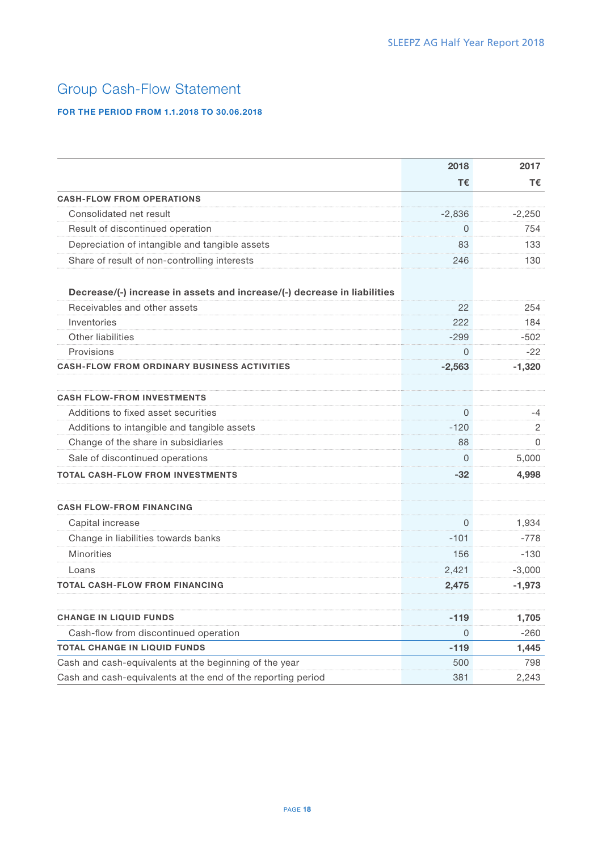# Group Cash-Flow Statement

## FOR THE PERIOD FROM 1.1.2018 TO 30.06.2018

|                                                                          | 2018     | 2017           |
|--------------------------------------------------------------------------|----------|----------------|
|                                                                          | Τ€       | т€             |
| <b>CASH-FLOW FROM OPERATIONS</b>                                         |          |                |
| Consolidated net result                                                  | $-2,836$ | $-2,250$       |
| Result of discontinued operation                                         | $\Omega$ | 754            |
| Depreciation of intangible and tangible assets                           | 83       | 133            |
| Share of result of non-controlling interests                             | 246      | 130            |
| Decrease/(-) increase in assets and increase/(-) decrease in liabilities |          |                |
| Receivables and other assets                                             | 22       | 254            |
| Inventories                                                              | 222      | 184            |
| Other liabilities                                                        | $-299$   | $-502$         |
| Provisions                                                               | 0        | $-22$          |
| <b>CASH-FLOW FROM ORDINARY BUSINESS ACTIVITIES</b>                       | $-2,563$ | $-1,320$       |
| <b>CASH FLOW-FROM INVESTMENTS</b>                                        |          |                |
| Additions to fixed asset securities                                      | $\Omega$ | -4             |
| Additions to intangible and tangible assets                              | $-120$   | $\overline{2}$ |
| Change of the share in subsidiaries                                      | 88       | $\Omega$       |
| Sale of discontinued operations                                          | 0        | 5,000          |
| <b>TOTAL CASH-FLOW FROM INVESTMENTS</b>                                  | $-32$    | 4,998          |
| <b>CASH FLOW-FROM FINANCING</b>                                          |          |                |
| Capital increase                                                         | $\Omega$ | 1,934          |
| Change in liabilities towards banks                                      | $-101$   | $-778$         |
| <b>Minorities</b>                                                        | 156      | $-130$         |
| Loans                                                                    | 2,421    | $-3,000$       |
| <b>TOTAL CASH-FLOW FROM FINANCING</b>                                    | 2,475    | $-1,973$       |
| <b>CHANGE IN LIQUID FUNDS</b>                                            | $-119$   | 1,705          |
| Cash-flow from discontinued operation                                    | $\Omega$ | $-260$         |
| <b>TOTAL CHANGE IN LIQUID FUNDS</b>                                      | $-119$   | 1,445          |
| Cash and cash-equivalents at the beginning of the year                   | 500      | 798            |
| Cash and cash-equivalents at the end of the reporting period             | 381      | 2,243          |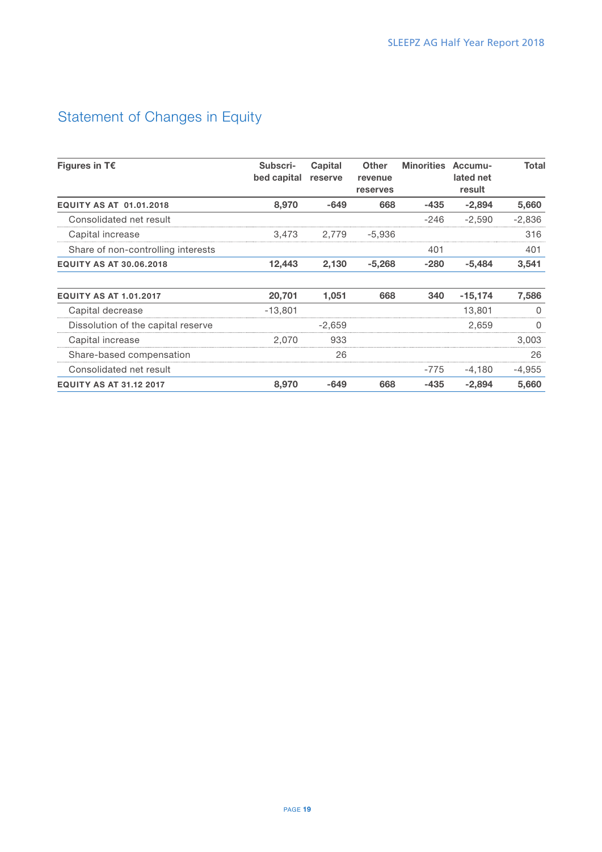# Statement of Changes in Equity

| Figures in $T\epsilon$             | Subscri-<br>bed capital | Capital<br>reserve | <b>Other</b><br>revenue<br>reserves | <b>Minorities</b> | Accumu-<br>lated net<br>result | Total    |
|------------------------------------|-------------------------|--------------------|-------------------------------------|-------------------|--------------------------------|----------|
| <b>EQUITY AS AT 01.01.2018</b>     | 8,970                   | $-649$             | 668                                 | $-435$            | $-2.894$                       | 5,660    |
| Consolidated net result            |                         |                    |                                     | $-246$            | $-2.590$                       | $-2,836$ |
| Capital increase                   | 3.473                   | 2.779              | -5.936                              |                   |                                | 316      |
| Share of non-controlling interests |                         |                    |                                     | 401               |                                | 401      |
| <b>EQUITY AS AT 30.06.2018</b>     | 12,443                  | 2,130              | $-5,268$                            | $-280$            | $-5,484$                       | 3,541    |
| <b>EQUITY AS AT 1.01.2017</b>      | 20,701                  | 1,051              | 668                                 | 340               | $-15,174$                      | 7,586    |
| Capital decrease                   | $-13.801$               |                    |                                     |                   | 13.801                         |          |
| Dissolution of the capital reserve |                         | $-2.659$           |                                     |                   | 2.659                          |          |
| Capital increase                   | 2.070                   | 933                |                                     |                   |                                | 3.003    |
| Share-based compensation           |                         | 26                 |                                     |                   |                                | 26       |
| Consolidated net result            |                         |                    |                                     | -775              | -4.180                         | $-4,955$ |
| <b>EQUITY AS AT 31.12 2017</b>     | 8,970                   | $-649$             | 668                                 | $-435$            | $-2.894$                       | 5,660    |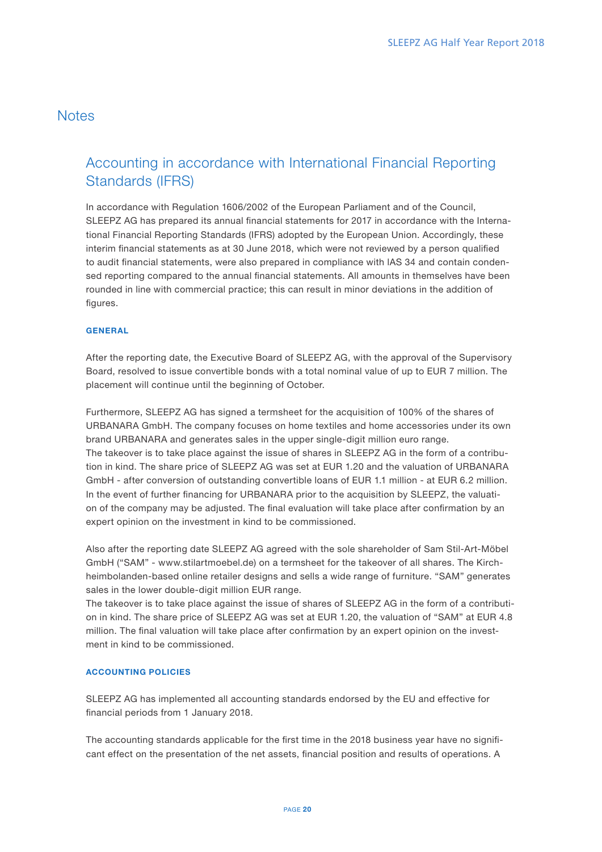## **Notes**

# Accounting in accordance with International Financial Reporting Standards (IFRS)

In accordance with Regulation 1606/2002 of the European Parliament and of the Council, SLEEPZ AG has prepared its annual financial statements for 2017 in accordance with the International Financial Reporting Standards (IFRS) adopted by the European Union. Accordingly, these interim financial statements as at 30 June 2018, which were not reviewed by a person qualified to audit financial statements, were also prepared in compliance with lAS 34 and contain condensed reporting compared to the annual financial statements. All amounts in themselves have been rounded in line with commercial practice; this can result in minor deviations in the addition of figures.

## **GENERAL**

After the reporting date, the Executive Board of SLEEPZ AG, with the approval of the Supervisory Board, resolved to issue convertible bonds with a total nominal value of up to EUR 7 million. The placement will continue until the beginning of October.

Furthermore, SLEEPZ AG has signed a termsheet for the acquisition of 100% of the shares of URBANARA GmbH. The company focuses on home textiles and home accessories under its own brand URBANARA and generates sales in the upper single-digit million euro range. The takeover is to take place against the issue of shares in SLEEPZ AG in the form of a contribution in kind. The share price of SLEEPZ AG was set at EUR 1.20 and the valuation of URBANARA GmbH - after conversion of outstanding convertible loans of EUR 1.1 million - at EUR 6.2 million. In the event of further financing for URBANARA prior to the acquisition by SLEEPZ, the valuation of the company may be adjusted. The final evaluation will take place after confirmation by an expert opinion on the investment in kind to be commissioned.

Also after the reporting date SLEEPZ AG agreed with the sole shareholder of Sam Stil-Art-Möbel GmbH ("SAM" - www.stilartmoebel.de) on a termsheet for the takeover of all shares. The Kirchheimbolanden-based online retailer designs and sells a wide range of furniture. "SAM" generates sales in the lower double-digit million EUR range.

The takeover is to take place against the issue of shares of SLEEPZ AG in the form of a contribution in kind. The share price of SLEEPZ AG was set at EUR 1.20, the valuation of "SAM" at EUR 4.8 million. The final valuation will take place after confirmation by an expert opinion on the investment in kind to be commissioned.

## ACCOUNTING POLICIES

SLEEPZ AG has implemented all accounting standards endorsed by the EU and effective for financial periods from 1 January 2018.

The accounting standards applicable for the first time in the 2018 business year have no significant effect on the presentation of the net assets, financial position and results of operations. A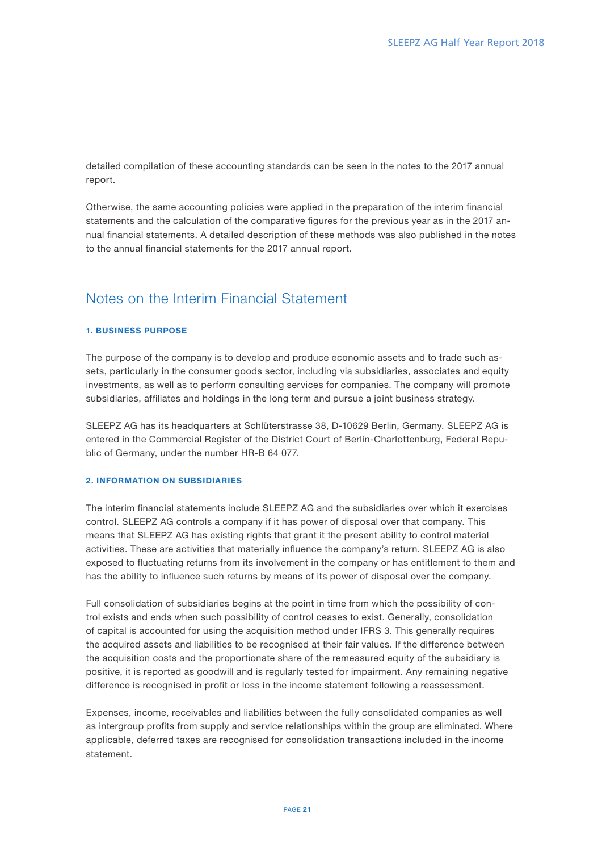detailed compilation of these accounting standards can be seen in the notes to the 2017 annual report.

Otherwise, the same accounting policies were applied in the preparation of the interim financial statements and the calculation of the comparative figures for the previous year as in the 2017 annual financial statements. A detailed description of these methods was also published in the notes to the annual financial statements for the 2017 annual report.

## Notes on the Interim Financial Statement

## 1. BUSINESS PURPOSE

The purpose of the company is to develop and produce economic assets and to trade such assets, particularly in the consumer goods sector, including via subsidiaries, associates and equity investments, as well as to perform consulting services for companies. The company will promote subsidiaries, affiliates and holdings in the long term and pursue a joint business strategy.

SLEEPZ AG has its headquarters at Schlüterstrasse 38, D-10629 Berlin, Germany. SLEEPZ AG is entered in the Commercial Register of the District Court of Berlin-Charlottenburg, Federal Republic of Germany, under the number HR-B 64 077.

## 2. INFORMATION ON SUBSIDIARIES

The interim financial statements include SLEEPZ AG and the subsidiaries over which it exercises control. SLEEPZ AG controls a company if it has power of disposal over that company. This means that SLEEPZ AG has existing rights that grant it the present ability to control material activities. These are activities that materially influence the company's return. SLEEPZ AG is also exposed to fluctuating returns from its involvement in the company or has entitlement to them and has the ability to influence such returns by means of its power of disposal over the company.

Full consolidation of subsidiaries begins at the point in time from which the possibility of control exists and ends when such possibility of control ceases to exist. Generally, consolidation of capital is accounted for using the acquisition method under IFRS 3. This generally requires the acquired assets and liabilities to be recognised at their fair values. If the difference between the acquisition costs and the proportionate share of the remeasured equity of the subsidiary is positive, it is reported as goodwill and is regularly tested for impairment. Any remaining negative difference is recognised in profit or loss in the income statement following a reassessment.

Expenses, income, receivables and liabilities between the fully consolidated companies as well as intergroup profits from supply and service relationships within the group are eliminated. Where applicable, deferred taxes are recognised for consolidation transactions included in the income statement.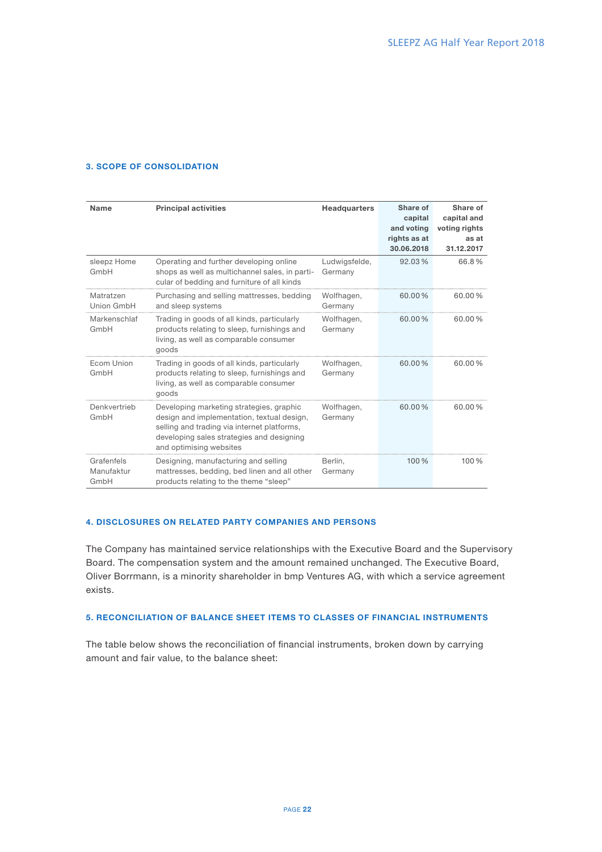## 3. SCOPE OF CONSOLIDATION

| <b>Name</b>                      | <b>Principal activities</b>                                                                                                                                                                                   | <b>Headquarters</b>      | Share of<br>capital<br>and voting<br>rights as at<br>30.06.2018 | Share of<br>capital and<br>voting rights<br>as at<br>31.12.2017 |
|----------------------------------|---------------------------------------------------------------------------------------------------------------------------------------------------------------------------------------------------------------|--------------------------|-----------------------------------------------------------------|-----------------------------------------------------------------|
| sleepz Home<br>GmbH              | Operating and further developing online<br>shops as well as multichannel sales, in parti-<br>cular of bedding and furniture of all kinds                                                                      | Ludwigsfelde,<br>Germany | 92.03%                                                          | 66.8%                                                           |
| Matratzen<br>Union GmbH          | Purchasing and selling mattresses, bedding<br>and sleep systems                                                                                                                                               | Wolfhagen,<br>Germany    | $60.00\%$                                                       | 60.00%                                                          |
| Markenschlaf<br>GmbH             | Trading in goods of all kinds, particularly<br>products relating to sleep, furnishings and<br>living, as well as comparable consumer<br>goods                                                                 | Wolfhagen,<br>Germany    | 60.00%                                                          | 60.00%                                                          |
| Ecom Union<br>GmbH               | Trading in goods of all kinds, particularly<br>products relating to sleep, furnishings and<br>living, as well as comparable consumer<br>goods                                                                 | Wolfhagen,<br>Germany    | $60.00\%$                                                       | $60.00\%$                                                       |
| Denkvertrieb<br>GmbH             | Developing marketing strategies, graphic<br>design and implementation, textual design,<br>selling and trading via internet platforms,<br>developing sales strategies and designing<br>and optimising websites | Wolfhagen,<br>Germany    | 60.00%                                                          | 60.00%                                                          |
| Grafenfels<br>Manufaktur<br>GmbH | Designing, manufacturing and selling<br>mattresses, bedding, bed linen and all other<br>products relating to the theme "sleep"                                                                                | Berlin,<br>Germany       | 100%                                                            | 100%                                                            |

## 4. DISCLOSURES ON RELATED PARTY COMPANIES AND PERSONS

The Company has maintained service relationships with the Executive Board and the Supervisory Board. The compensation system and the amount remained unchanged. The Executive Board, Oliver Borrmann, is a minority shareholder in bmp Ventures AG, with which a service agreement exists.

## 5. RECONCILIATION OF BALANCE SHEET ITEMS TO CLASSES OF FINANCIAL INSTRUMENTS

The table below shows the reconciliation of financial instruments, broken down by carrying amount and fair value, to the balance sheet: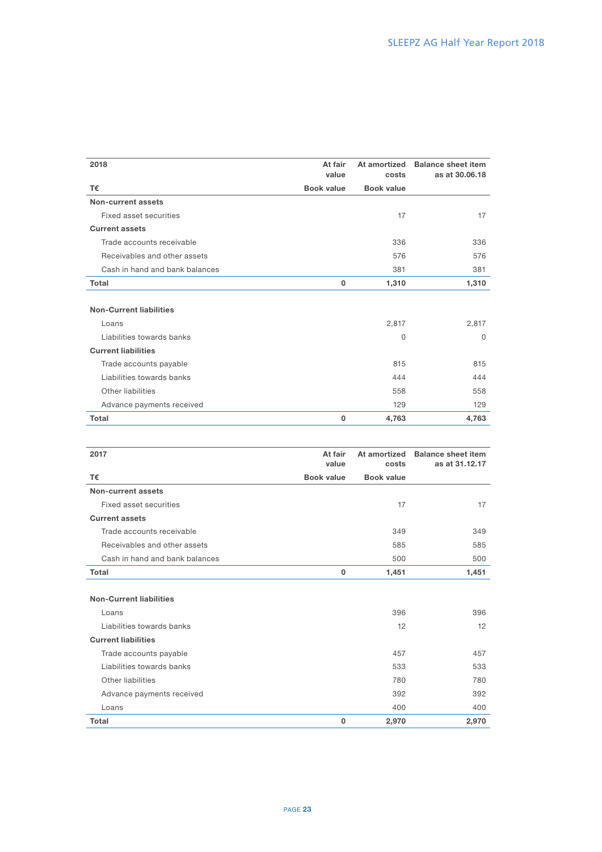| 2018                                                    | At fair<br>value  | At amortized<br>costs | <b>Balance sheet item</b><br>as at 30,06,18 |
|---------------------------------------------------------|-------------------|-----------------------|---------------------------------------------|
| T€                                                      | <b>Book value</b> | <b>Book value</b>     |                                             |
| <b>Non-current assets</b>                               |                   |                       |                                             |
| Fixed asset securities                                  |                   | 17                    | 17                                          |
| <b>Current assets</b>                                   |                   |                       |                                             |
| Trade accounts receivable                               |                   | 336                   | 336                                         |
| Receivables and other assets                            |                   | 576                   | 576                                         |
| Cash in hand and bank balances                          |                   | 381                   | 381                                         |
| <b>Total</b>                                            | 0                 | 1,310                 | 1,310                                       |
| <b>Non-Current liabilities</b><br>Loans                 |                   | 2,817                 | 2,817                                       |
| Liabilities towards banks<br><b>Current liabilities</b> |                   | $\Omega$              | $\Omega$                                    |
| Trade accounts payable                                  |                   | 815                   | 815                                         |
| Liabilities towards banks                               |                   | 444                   | 444                                         |
| Other liabilities                                       |                   | 558                   | 558                                         |
| Advance payments received                               |                   | 129                   | 129                                         |
| <b>Total</b>                                            | 0                 | 4,763                 | 4,763                                       |
| 2017                                                    | $A + f$ oir       |                       | At amortized Ralance sheet item             |

| 2017                           | At fair<br>value  | At amortized<br>costs | <b>Balance sheet item</b><br>as at 31.12.17 |
|--------------------------------|-------------------|-----------------------|---------------------------------------------|
| T€                             | <b>Book value</b> | <b>Book value</b>     |                                             |
| Non-current assets             |                   |                       |                                             |
| Fixed asset securities         |                   | 17                    | 17                                          |
| <b>Current assets</b>          |                   |                       |                                             |
| Trade accounts receivable      |                   | 349                   | 349                                         |
| Receivables and other assets   |                   | 585                   | 585                                         |
| Cash in hand and bank balances |                   | 500                   | 500                                         |
| Total                          | $\mathbf{0}$      | 1,451                 | 1,451                                       |
| <b>Non-Current liabilities</b> |                   |                       |                                             |
| Loans                          |                   | 396                   | 396                                         |
| Liabilities towards banks      |                   | 12                    | 12                                          |
| <b>Current liabilities</b>     |                   |                       |                                             |
| Trade accounts payable         |                   | 457                   | 457                                         |
| Liabilities towards banks      |                   | 533                   | 533                                         |
| Other liabilities              |                   | 780                   | 780                                         |
| Advance payments received      |                   | 392                   | 392                                         |
| Loans                          |                   | 400                   | 400                                         |
| <b>Total</b>                   | 0                 | 2,970                 | 2,970                                       |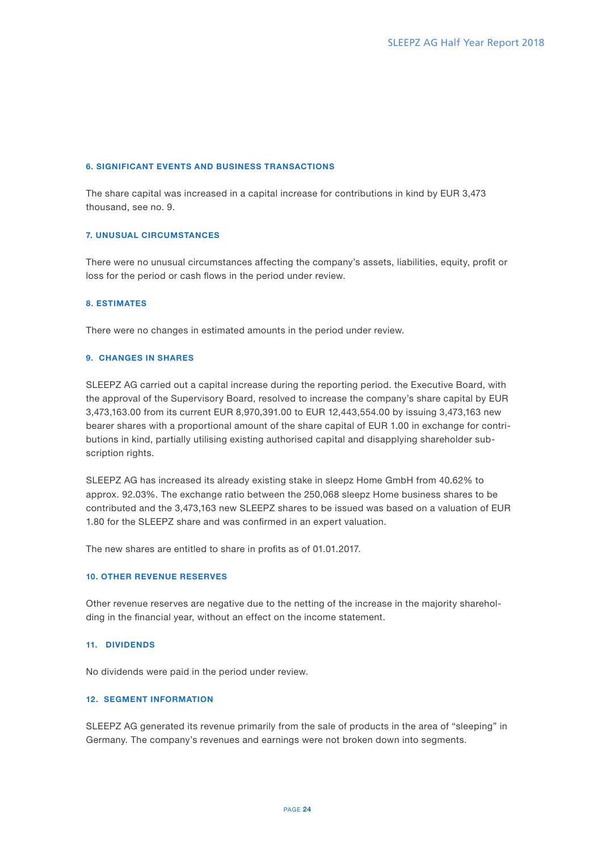## 6. SIGNIFICANT EVENTS AND BUSINESS TRANSACTIONS

The share capital was increased in a capital increase for contributions in kind by EUR 3,473 thousand, see no. 9.

### 7. UNUSUAL CIRCUMSTANCES

There were no unusual circumstances affecting the company's assets, liabilities, equity, profit or loss for the period or cash flows in the period under review.

### 8. ESTIMATES

There were no changes in estimated amounts in the period under review.

## 9. CHANGES IN SHARES

SLEEPZ AG carried out a capital increase during the reporting period. the Executive Board, with the approval of the Supervisory Board, resolved to increase the company's share capital by EUR 3,473,163.00 from its current EUR 8,970,391.00 to EUR 12,443,554.00 by issuing 3,473,163 new bearer shares with a proportional amount of the share capital of EUR 1.00 in exchange for contributions in kind, partially utilising existing authorised capital and disapplying shareholder subscription rights.

SLEEPZ AG has increased its already existing stake in sleepz Home GmbH from 40.62% to approx. 92.03%. The exchange ratio between the 250,068 sleepz Home business shares to be contributed and the 3,473,163 new SLEEPZ shares to be issued was based on a valuation of EUR 1.80 for the SLEEPZ share and was confirmed in an expert valuation.

The new shares are entitled to share in profits as of 01.01.2017.

### 10. OTHER REVENUE RESERVES

Other revenue reserves are negative due to the netting of the increase in the majority shareholding in the financial year, without an effect on the income statement.

#### 11. DIVIDENDS

No dividends were paid in the period under review.

## 12. SEGMENT INFORMATION

SLEEPZ AG generated its revenue primarily from the sale of products in the area of "sleeping" in Germany. The company's revenues and earnings were not broken down into segments.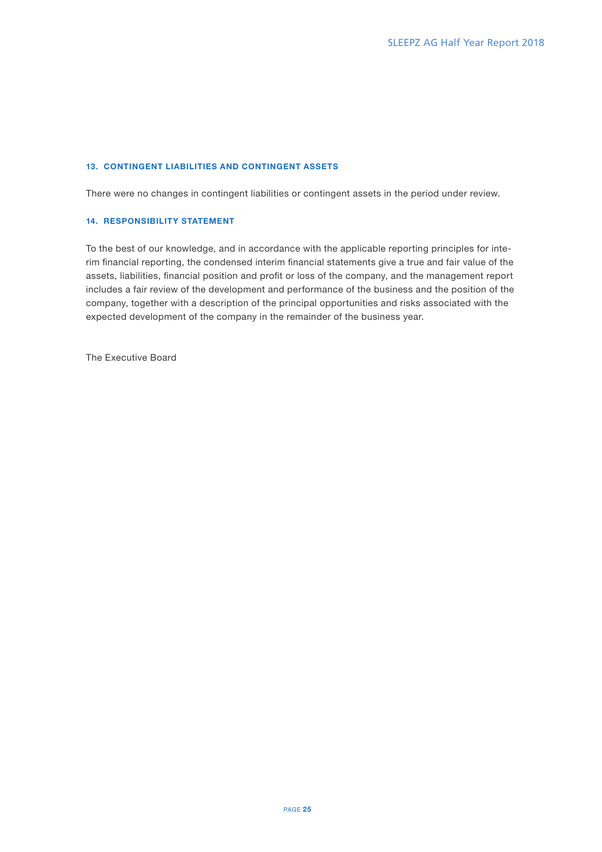## 13. CONTINGENT LIABILITIES AND CONTINGENT ASSETS

There were no changes in contingent liabilities or contingent assets in the period under review.

## 14. RESPONSIBILITY STATEMENT

To the best of our knowledge, and in accordance with the applicable reporting principles for interim financial reporting, the condensed interim financial statements give a true and fair value of the assets, liabilities, financial position and profit or loss of the company, and the management report includes a fair review of the development and performance of the business and the position of the company, together with a description of the principal opportunities and risks associated with the expected development of the company in the remainder of the business year.

The Executive Board